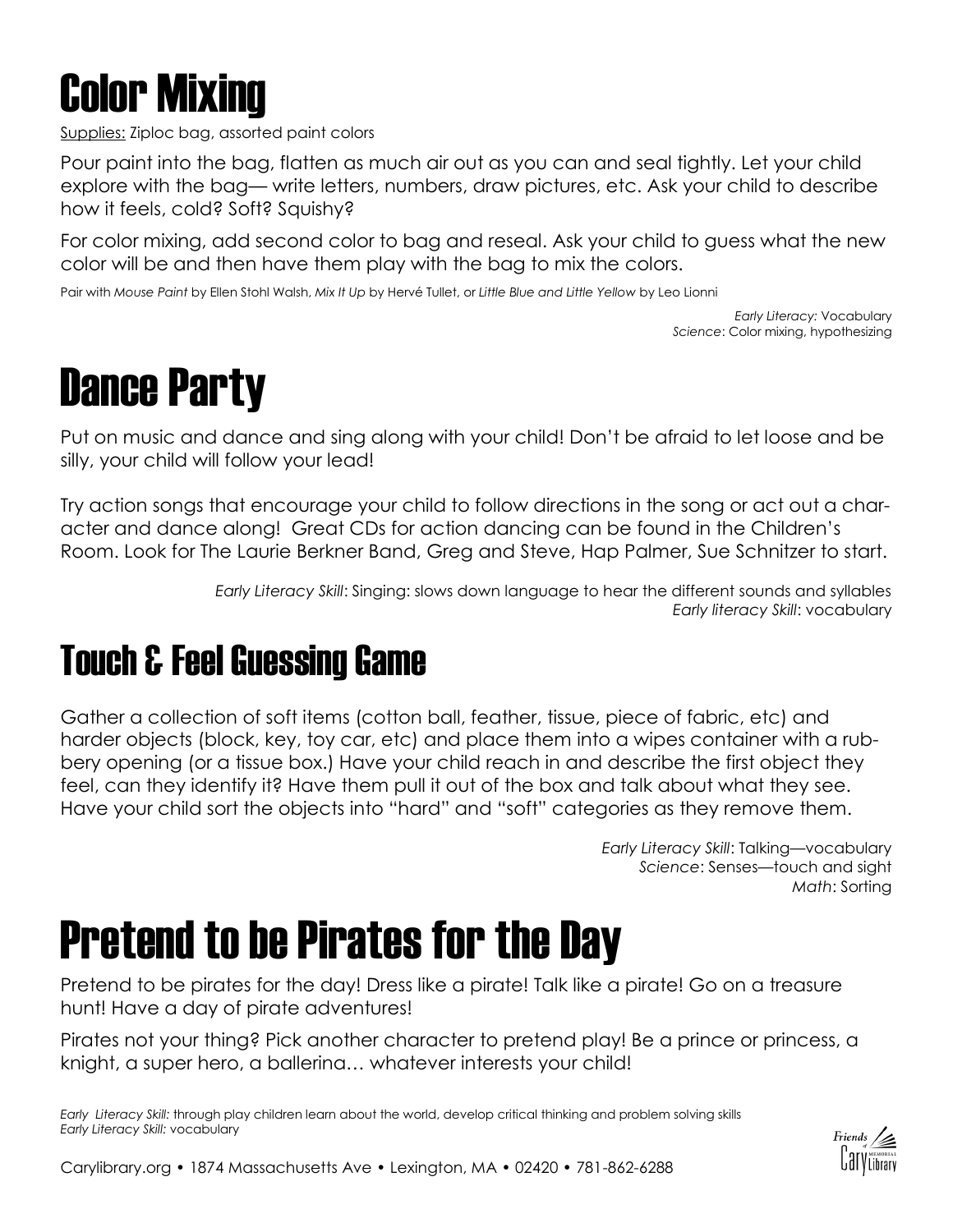

Supplies: Ziploc bag, assorted paint colors

Pour paint into the bag, flatten as much air out as you can and seal tightly. Let your child explore with the bag— write letters, numbers, draw pictures, etc. Ask your child to describe how it feels, cold? Soft? Squishy?

For color mixing, add second color to bag and reseal. Ask your child to guess what the new color will be and then have them play with the bag to mix the colors.

Pair with *Mouse Paint* by Ellen Stohl Walsh, *Mix It Up* by Hervé Tullet, or *Little Blue and Little Yellow* by Leo Lionni

*Early Literacy:* Vocabulary *Science*: Color mixing, hypothesizing

#### Dance Party

Put on music and dance and sing along with your child! Don't be afraid to let loose and be silly, your child will follow your lead!

Try action songs that encourage your child to follow directions in the song or act out a character and dance along! Great CDs for action dancing can be found in the Children's Room. Look for The Laurie Berkner Band, Greg and Steve, Hap Palmer, Sue Schnitzer to start.

> *Early Literacy Skill*: Singing: slows down language to hear the different sounds and syllables *Early literacy Skill*: vocabulary

#### Touch & Feel Guessing Game

Gather a collection of soft items (cotton ball, feather, tissue, piece of fabric, etc) and harder objects (block, key, toy car, etc) and place them into a wipes container with a rubbery opening (or a tissue box.) Have your child reach in and describe the first object they feel, can they identify it? Have them pull it out of the box and talk about what they see. Have your child sort the objects into "hard" and "soft" categories as they remove them.

> *Early Literacy Skill*: Talking—vocabulary *Science*: Senses—touch and sight *Math*: Sorting

#### Pretend to be Pirates for the Day

Pretend to be pirates for the day! Dress like a pirate! Talk like a pirate! Go on a treasure hunt! Have a day of pirate adventures!

Pirates not your thing? Pick another character to pretend play! Be a prince or princess, a knight, a super hero, a ballerina… whatever interests your child!

*Early Literacy Skill:* through play children learn about the world, develop critical thinking and problem solving skills *Early Literacy Skill:* vocabulary

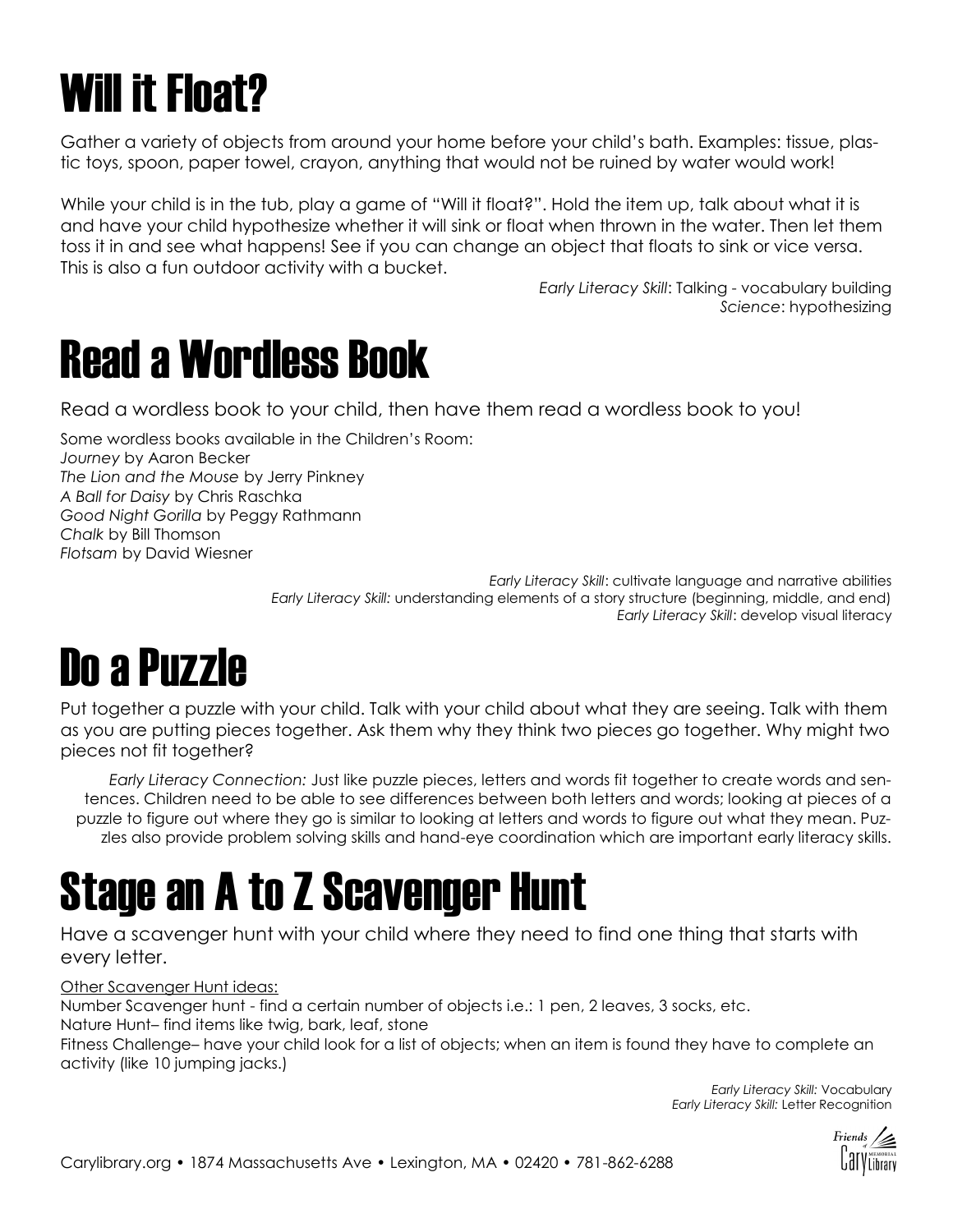# Will it Float?

Gather a variety of objects from around your home before your child's bath. Examples: tissue, plastic toys, spoon, paper towel, crayon, anything that would not be ruined by water would work!

While your child is in the tub, play a game of "Will it float?". Hold the item up, talk about what it is and have your child hypothesize whether it will sink or float when thrown in the water. Then let them toss it in and see what happens! See if you can change an object that floats to sink or vice versa. This is also a fun outdoor activity with a bucket.

> *Early Literacy Skill*: Talking - vocabulary building *Science*: hypothesizing

#### Read a Wordless Book

Read a wordless book to your child, then have them read a wordless book to you!

Some wordless books available in the Children's Room: *Journey* by Aaron Becker *The Lion and the Mouse* by Jerry Pinkney *A Ball for Daisy* by Chris Raschka *Good Night Gorilla* by Peggy Rathmann *Chalk* by Bill Thomson *Flotsam* by David Wiesner

> *Early Literacy Skill*: cultivate language and narrative abilities *Early Literacy Skill:* understanding elements of a story structure (beginning, middle, and end) *Early Literacy Skill*: develop visual literacy

# Do a Puzzle

Put together a puzzle with your child. Talk with your child about what they are seeing. Talk with them as you are putting pieces together. Ask them why they think two pieces go together. Why might two pieces not fit together?

*Early Literacy Connection:* Just like puzzle pieces, letters and words fit together to create words and sentences. Children need to be able to see differences between both letters and words; looking at pieces of a puzzle to figure out where they go is similar to looking at letters and words to figure out what they mean. Puzzles also provide problem solving skills and hand-eye coordination which are important early literacy skills.

#### Stage an A to Z Scavenger Hunt

Have a scavenger hunt with your child where they need to find one thing that starts with every letter.

#### Other Scavenger Hunt ideas:

Number Scavenger hunt - find a certain number of objects i.e.: 1 pen, 2 leaves, 3 socks, etc. Nature Hunt– find items like twig, bark, leaf, stone

Fitness Challenge– have your child look for a list of objects; when an item is found they have to complete an activity (like 10 jumping jacks.)

> *Early Literacy Skill:* Vocabulary *Early Literacy Skill:* Letter Recognition

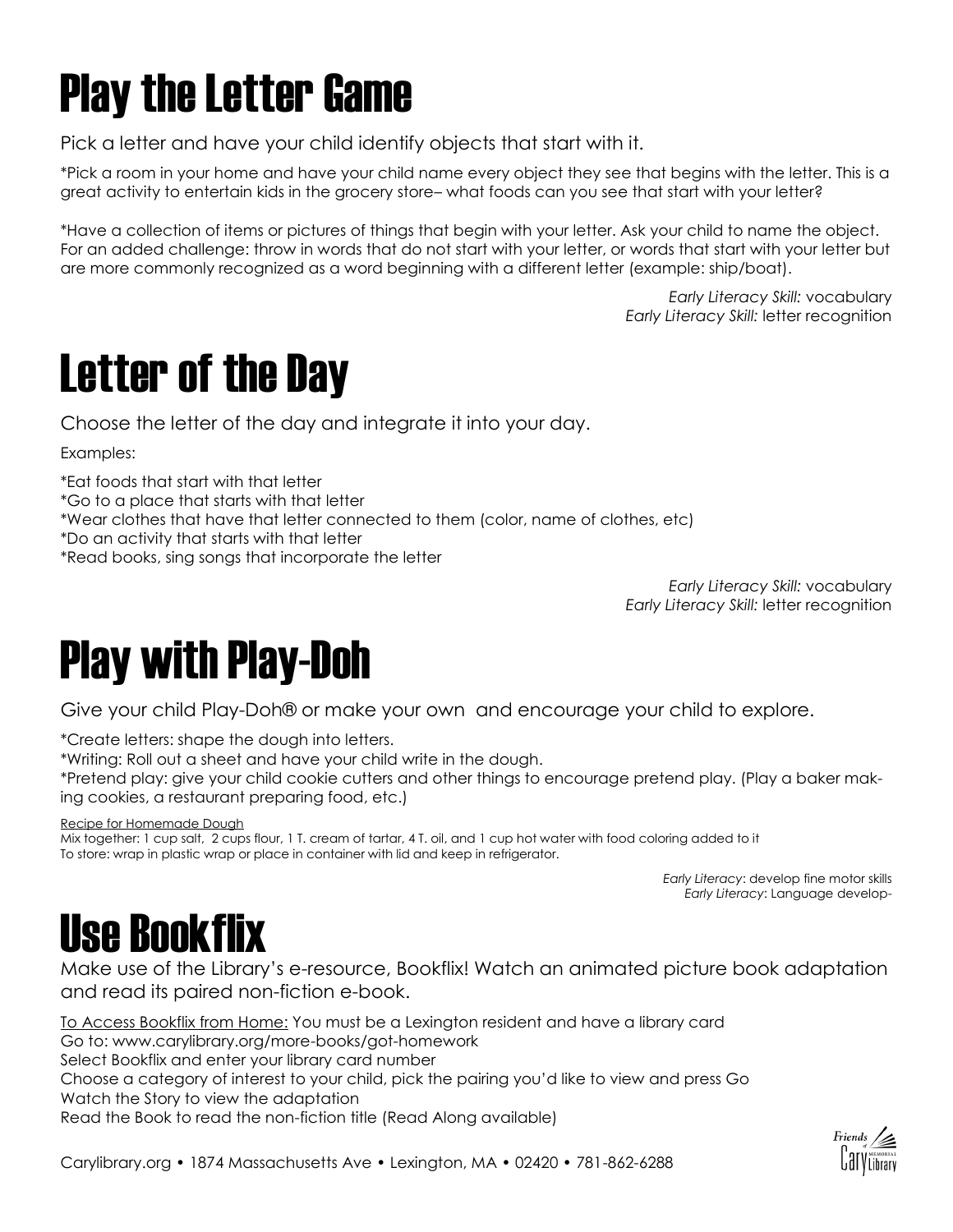# Play the Letter Game

Pick a letter and have your child identify objects that start with it.

\*Pick a room in your home and have your child name every object they see that begins with the letter. This is a great activity to entertain kids in the grocery store– what foods can you see that start with your letter?

\*Have a collection of items or pictures of things that begin with your letter. Ask your child to name the object. For an added challenge: throw in words that do not start with your letter, or words that start with your letter but are more commonly recognized as a word beginning with a different letter (example: ship/boat).

> *Early Literacy Skill:* vocabulary *Early Literacy Skill:* letter recognition

# Letter of the Day

Choose the letter of the day and integrate it into your day.

Examples:

\*Eat foods that start with that letter

\*Go to a place that starts with that letter

\*Wear clothes that have that letter connected to them (color, name of clothes, etc)

\*Do an activity that starts with that letter

\*Read books, sing songs that incorporate the letter

*Early Literacy Skill:* vocabulary *Early Literacy Skill:* letter recognition

#### Play with Play-Doh

Give your child Play-Doh® or make your own and encourage your child to explore.

\*Create letters: shape the dough into letters.

\*Writing: Roll out a sheet and have your child write in the dough.

\*Pretend play: give your child cookie cutters and other things to encourage pretend play. (Play a baker making cookies, a restaurant preparing food, etc.)

Recipe for Homemade Dough

Mix together: 1 cup salt, 2 cups flour, 1 T. cream of tartar, 4 T. oil, and 1 cup hot water with food coloring added to it To store: wrap in plastic wrap or place in container with lid and keep in refrigerator.

> *Early Literacy*: develop fine motor skills *Early Literacy*: Language develop-

#### Use Bookflix

Make use of the Library's e-resource, Bookflix! Watch an animated picture book adaptation and read its paired non-fiction e-book.

To Access Bookflix from Home: You must be a Lexington resident and have a library card Go to: www.carylibrary.org/more-books/got-homework Select Bookflix and enter your library card number Choose a category of interest to your child, pick the pairing you'd like to view and press Go Watch the Story to view the adaptation Read the Book to read the non-fiction title (Read Along available)

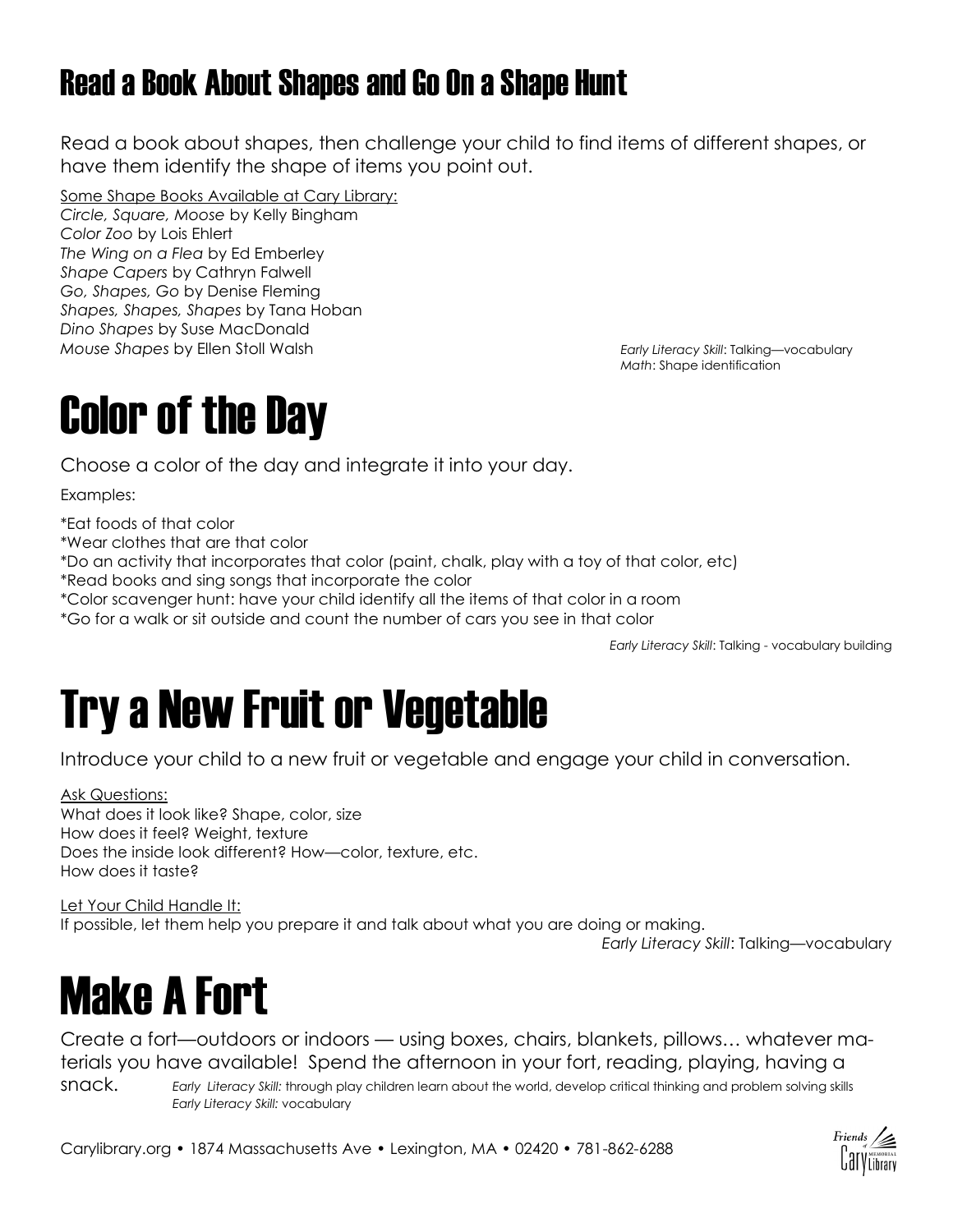#### Read a Book About Shapes and Go On a Shape Hunt

Read a book about shapes, then challenge your child to find items of different shapes, or have them identify the shape of items you point out.

Some Shape Books Available at Cary Library: *Circle, Square, Moose* by Kelly Bingham *Color Zoo* by Lois Ehlert *The Wing on a Flea* by Ed Emberley *Shape Capers* by Cathryn Falwell *Go, Shapes, Go* by Denise Fleming *Shapes, Shapes, Shapes* by Tana Hoban *Dino Shapes* by Suse MacDonald *Mouse Shapes* by Ellen Stoll Walsh *Early Literacy Skill*: Talking—vocabulary

*Math*: Shape identification

#### Color of the Day

Choose a color of the day and integrate it into your day.

Examples:

\*Eat foods of that color

\*Wear clothes that are that color

\*Do an activity that incorporates that color (paint, chalk, play with a toy of that color, etc)

\*Read books and sing songs that incorporate the color

\*Color scavenger hunt: have your child identify all the items of that color in a room

\*Go for a walk or sit outside and count the number of cars you see in that color

*Early Literacy Skill*: Talking - vocabulary building

#### Try a New Fruit or Vegetable

Introduce your child to a new fruit or vegetable and engage your child in conversation.

Ask Questions: What does it look like? Shape, color, size How does it feel? Weight, texture Does the inside look different? How—color, texture, etc. How does it taste?

Let Your Child Handle It: If possible, let them help you prepare it and talk about what you are doing or making.

*Early Literacy Skill*: Talking—vocabulary

#### Make A Fort

Create a fort—outdoors or indoors — using boxes, chairs, blankets, pillows… whatever materials you have available! Spend the afternoon in your fort, reading, playing, having a snack. *Early Literacy Skill:* through play children learn about the world, develop critical thinking and problem solving skills *Early Literacy Skill:* vocabulary